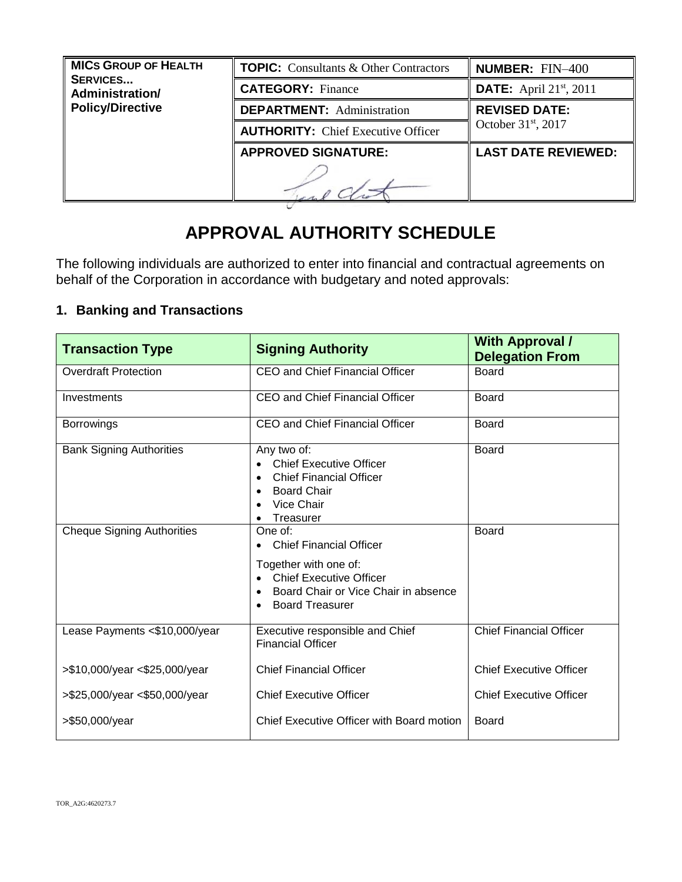| <b>MICS GROUP OF HEALTH</b><br><b>SERVICES</b><br>Administration/ | <b>TOPIC:</b> Consultants & Other Contractors | <b>NUMBER: FIN-400</b>                |
|-------------------------------------------------------------------|-----------------------------------------------|---------------------------------------|
|                                                                   | <b>CATEGORY: Finance</b>                      | <b>DATE:</b> April $21^{st}$ , $2011$ |
| <b>Policy/Directive</b>                                           | <b>DEPARTMENT:</b> Administration             | <b>REVISED DATE:</b>                  |
|                                                                   | <b>AUTHORITY:</b> Chief Executive Officer     | October $31st$ , 2017                 |
|                                                                   | <b>APPROVED SIGNATURE:</b>                    | <b>LAST DATE REVIEWED:</b>            |
|                                                                   |                                               |                                       |

# **APPROVAL AUTHORITY SCHEDULE**

The following individuals are authorized to enter into financial and contractual agreements on behalf of the Corporation in accordance with budgetary and noted approvals:

## **1. Banking and Transactions**

| <b>Transaction Type</b>           | <b>Signing Authority</b>                                                                                                                      | <b>With Approval /</b><br><b>Delegation From</b> |
|-----------------------------------|-----------------------------------------------------------------------------------------------------------------------------------------------|--------------------------------------------------|
| <b>Overdraft Protection</b>       | <b>CEO and Chief Financial Officer</b>                                                                                                        | <b>Board</b>                                     |
| Investments                       | <b>CEO and Chief Financial Officer</b>                                                                                                        | Board                                            |
| <b>Borrowings</b>                 | <b>CEO and Chief Financial Officer</b>                                                                                                        | Board                                            |
| <b>Bank Signing Authorities</b>   | Any two of:<br><b>Chief Executive Officer</b><br><b>Chief Financial Officer</b><br>$\bullet$<br><b>Board Chair</b><br>Vice Chair<br>Treasurer | <b>Board</b>                                     |
| <b>Cheque Signing Authorities</b> | One of:<br><b>Chief Financial Officer</b><br>Together with one of:                                                                            | <b>Board</b>                                     |
|                                   | <b>Chief Executive Officer</b><br>Board Chair or Vice Chair in absence<br><b>Board Treasurer</b>                                              |                                                  |
| Lease Payments <\$10,000/year     | Executive responsible and Chief<br><b>Financial Officer</b>                                                                                   | <b>Chief Financial Officer</b>                   |
| >\$10,000/year <\$25,000/year     | <b>Chief Financial Officer</b>                                                                                                                | <b>Chief Executive Officer</b>                   |
| >\$25,000/year <\$50,000/year     | <b>Chief Executive Officer</b>                                                                                                                | <b>Chief Executive Officer</b>                   |
| >\$50,000/year                    | Chief Executive Officer with Board motion                                                                                                     | Board                                            |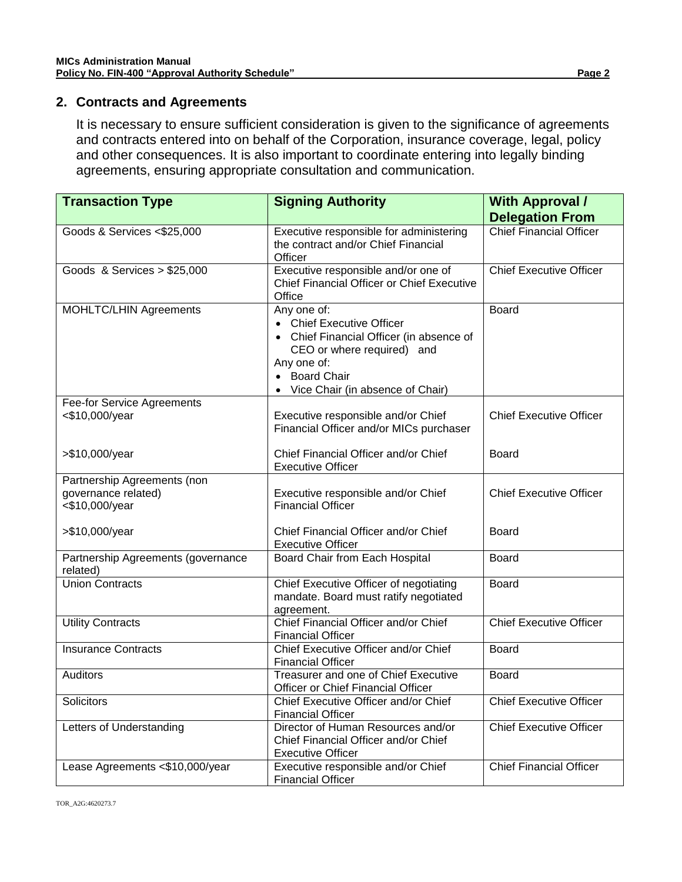### **2. Contracts and Agreements**

It is necessary to ensure sufficient consideration is given to the significance of agreements and contracts entered into on behalf of the Corporation, insurance coverage, legal, policy and other consequences. It is also important to coordinate entering into legally binding agreements, ensuring appropriate consultation and communication.

| <b>Transaction Type</b>                             | <b>Signing Authority</b>                                                                                                                                                             | <b>With Approval /</b>         |
|-----------------------------------------------------|--------------------------------------------------------------------------------------------------------------------------------------------------------------------------------------|--------------------------------|
|                                                     |                                                                                                                                                                                      | <b>Delegation From</b>         |
| Goods & Services <\$25,000                          | Executive responsible for administering<br>the contract and/or Chief Financial<br>Officer                                                                                            | <b>Chief Financial Officer</b> |
| Goods & Services $> $25,000$                        | Executive responsible and/or one of<br>Chief Financial Officer or Chief Executive<br>Office                                                                                          | <b>Chief Executive Officer</b> |
| <b>MOHLTC/LHIN Agreements</b>                       | Any one of:<br>• Chief Executive Officer<br>Chief Financial Officer (in absence of<br>CEO or where required) and<br>Any one of:<br>• Board Chair<br>Vice Chair (in absence of Chair) | <b>Board</b>                   |
| <b>Fee-for Service Agreements</b><br><\$10,000/year | Executive responsible and/or Chief<br>Financial Officer and/or MICs purchaser                                                                                                        | <b>Chief Executive Officer</b> |
| >\$10,000/year                                      | Chief Financial Officer and/or Chief<br><b>Executive Officer</b>                                                                                                                     | Board                          |
| Partnership Agreements (non                         |                                                                                                                                                                                      |                                |
| governance related)<br><\$10,000/year               | Executive responsible and/or Chief<br><b>Financial Officer</b>                                                                                                                       | <b>Chief Executive Officer</b> |
| >\$10,000/year                                      | Chief Financial Officer and/or Chief<br><b>Executive Officer</b>                                                                                                                     | Board                          |
| Partnership Agreements (governance<br>related)      | Board Chair from Each Hospital                                                                                                                                                       | Board                          |
| <b>Union Contracts</b>                              | Chief Executive Officer of negotiating<br>mandate. Board must ratify negotiated<br>agreement.                                                                                        | <b>Board</b>                   |
| <b>Utility Contracts</b>                            | Chief Financial Officer and/or Chief<br><b>Financial Officer</b>                                                                                                                     | <b>Chief Executive Officer</b> |
| <b>Insurance Contracts</b>                          | Chief Executive Officer and/or Chief<br><b>Financial Officer</b>                                                                                                                     | <b>Board</b>                   |
| Auditors                                            | Treasurer and one of Chief Executive<br>Officer or Chief Financial Officer                                                                                                           | <b>Board</b>                   |
| Solicitors                                          | Chief Executive Officer and/or Chief<br><b>Financial Officer</b>                                                                                                                     | <b>Chief Executive Officer</b> |
| Letters of Understanding                            | Director of Human Resources and/or<br>Chief Financial Officer and/or Chief<br><b>Executive Officer</b>                                                                               | <b>Chief Executive Officer</b> |
| Lease Agreements <\$10,000/year                     | Executive responsible and/or Chief<br><b>Financial Officer</b>                                                                                                                       | <b>Chief Financial Officer</b> |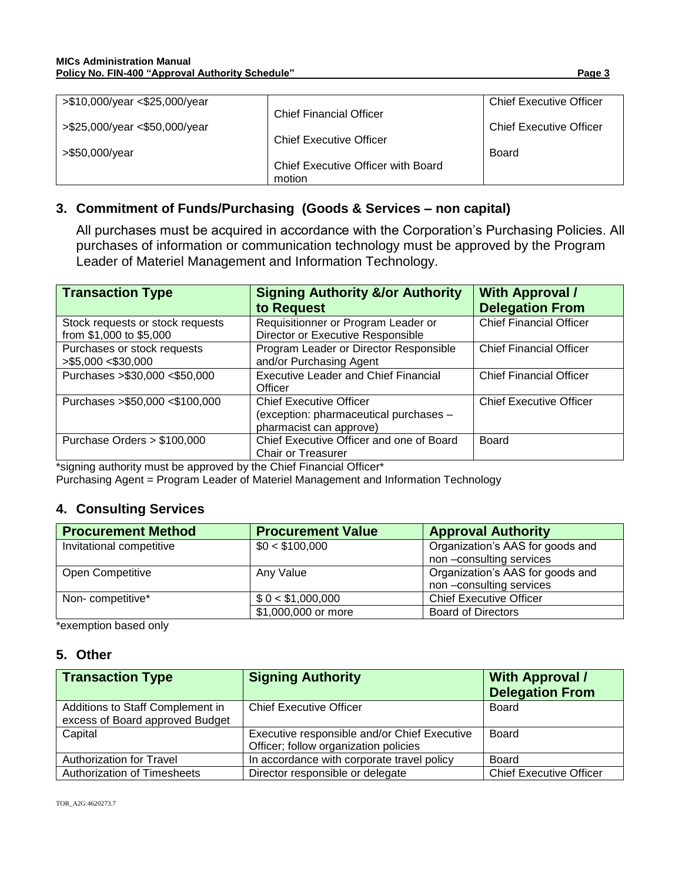| >\$10,000/year <\$25,000/year |                                    | <b>Chief Executive Officer</b> |
|-------------------------------|------------------------------------|--------------------------------|
|                               | <b>Chief Financial Officer</b>     |                                |
| >\$25,000/year <\$50,000/year |                                    | <b>Chief Executive Officer</b> |
|                               | <b>Chief Executive Officer</b>     |                                |
| >\$50,000/year                |                                    | Board                          |
|                               | Chief Executive Officer with Board |                                |
|                               | motion                             |                                |

## **3. Commitment of Funds/Purchasing (Goods & Services – non capital)**

All purchases must be acquired in accordance with the Corporation's Purchasing Policies. All purchases of information or communication technology must be approved by the Program Leader of Materiel Management and Information Technology.

| <b>Transaction Type</b>                                     | <b>Signing Authority &amp;/or Authority</b><br>to Request                                           | <b>With Approval /</b><br><b>Delegation From</b> |
|-------------------------------------------------------------|-----------------------------------------------------------------------------------------------------|--------------------------------------------------|
| Stock requests or stock requests<br>from \$1,000 to \$5,000 | Requisitionner or Program Leader or<br>Director or Executive Responsible                            | <b>Chief Financial Officer</b>                   |
| Purchases or stock requests<br>> \$5,000 < \$30,000         | Program Leader or Director Responsible<br>and/or Purchasing Agent                                   | <b>Chief Financial Officer</b>                   |
| Purchases > \$30,000 < \$50,000                             | <b>Executive Leader and Chief Financial</b><br>Officer                                              | <b>Chief Financial Officer</b>                   |
| Purchases > \$50,000 < \$100,000                            | <b>Chief Executive Officer</b><br>(exception: pharmaceutical purchases -<br>pharmacist can approve) | <b>Chief Executive Officer</b>                   |
| Purchase Orders $> $100,000$                                | Chief Executive Officer and one of Board<br><b>Chair or Treasurer</b>                               | Board                                            |

\*signing authority must be approved by the Chief Financial Officer\*

Purchasing Agent = Program Leader of Materiel Management and Information Technology

#### **4. Consulting Services**

| <b>Procurement Method</b> | <b>Procurement Value</b> | <b>Approval Authority</b>        |
|---------------------------|--------------------------|----------------------------------|
| Invitational competitive  | \$0 < \$100,000          | Organization's AAS for goods and |
|                           |                          | non-consulting services          |
| Open Competitive          | Any Value                | Organization's AAS for goods and |
|                           |                          | non-consulting services          |
| Non-competitive*          | \$0 < \$1,000,000        | <b>Chief Executive Officer</b>   |
|                           | \$1,000,000 or more      | <b>Board of Directors</b>        |

\*exemption based only

#### **5. Other**

| <b>Transaction Type</b>                                             | <b>Signing Authority</b>                                                              | <b>With Approval /</b><br><b>Delegation From</b> |
|---------------------------------------------------------------------|---------------------------------------------------------------------------------------|--------------------------------------------------|
| Additions to Staff Complement in<br>excess of Board approved Budget | <b>Chief Executive Officer</b>                                                        | Board                                            |
| Capital                                                             | Executive responsible and/or Chief Executive<br>Officer; follow organization policies | Board                                            |
| Authorization for Travel                                            | In accordance with corporate travel policy                                            | Board                                            |
| <b>Authorization of Timesheets</b>                                  | Director responsible or delegate                                                      | <b>Chief Executive Officer</b>                   |